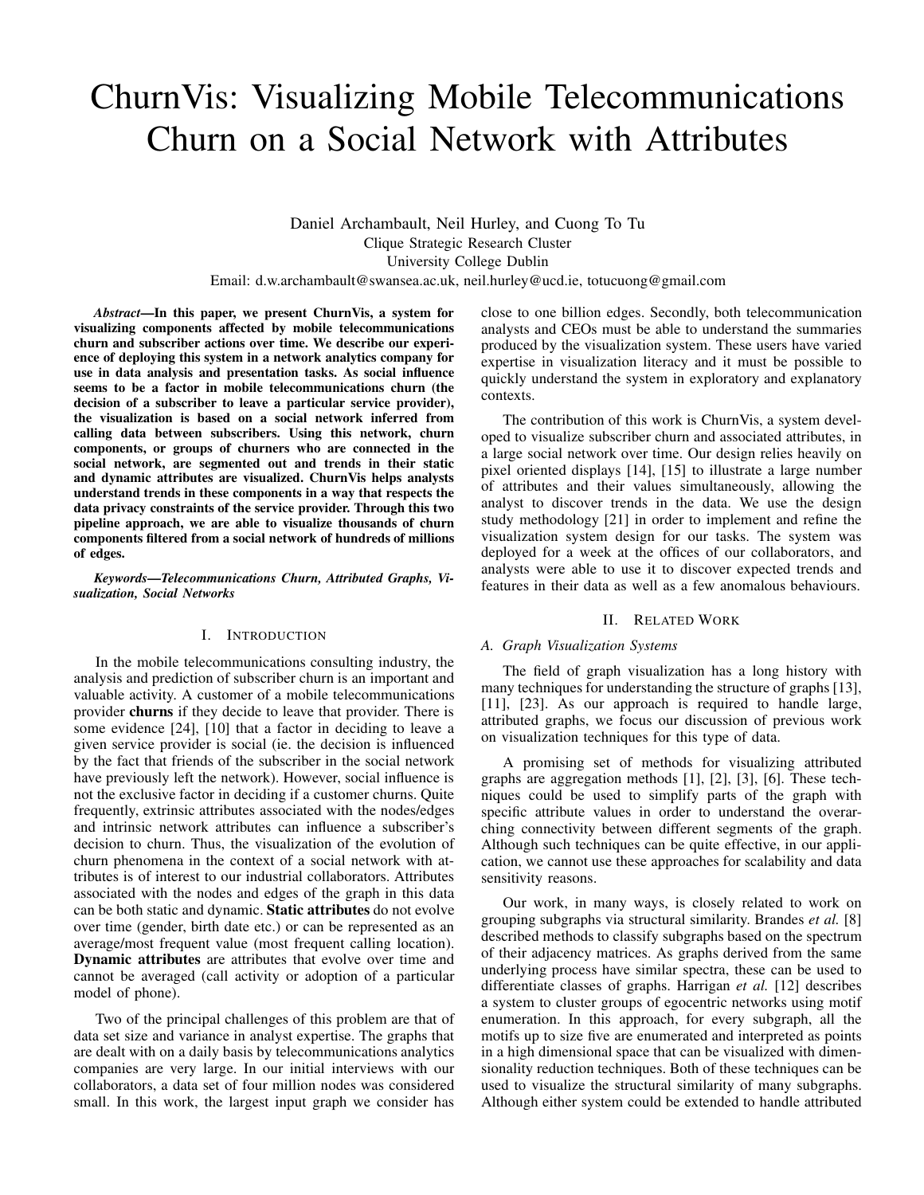# ChurnVis: Visualizing Mobile Telecommunications Churn on a Social Network with Attributes

Daniel Archambault, Neil Hurley, and Cuong To Tu Clique Strategic Research Cluster University College Dublin

Email: d.w.archambault@swansea.ac.uk, neil.hurley@ucd.ie, totucuong@gmail.com

*Abstract*—In this paper, we present ChurnVis, a system for visualizing components affected by mobile telecommunications churn and subscriber actions over time. We describe our experience of deploying this system in a network analytics company for use in data analysis and presentation tasks. As social influence seems to be a factor in mobile telecommunications churn (the decision of a subscriber to leave a particular service provider), the visualization is based on a social network inferred from calling data between subscribers. Using this network, churn components, or groups of churners who are connected in the social network, are segmented out and trends in their static and dynamic attributes are visualized. ChurnVis helps analysts understand trends in these components in a way that respects the data privacy constraints of the service provider. Through this two pipeline approach, we are able to visualize thousands of churn components filtered from a social network of hundreds of millions of edges.

*Keywords*—*Telecommunications Churn, Attributed Graphs, Visualization, Social Networks*

#### I. INTRODUCTION

In the mobile telecommunications consulting industry, the analysis and prediction of subscriber churn is an important and valuable activity. A customer of a mobile telecommunications provider churns if they decide to leave that provider. There is some evidence [24], [10] that a factor in deciding to leave a given service provider is social (ie. the decision is influenced by the fact that friends of the subscriber in the social network have previously left the network). However, social influence is not the exclusive factor in deciding if a customer churns. Quite frequently, extrinsic attributes associated with the nodes/edges and intrinsic network attributes can influence a subscriber's decision to churn. Thus, the visualization of the evolution of churn phenomena in the context of a social network with attributes is of interest to our industrial collaborators. Attributes associated with the nodes and edges of the graph in this data can be both static and dynamic. Static attributes do not evolve over time (gender, birth date etc.) or can be represented as an average/most frequent value (most frequent calling location). Dynamic attributes are attributes that evolve over time and cannot be averaged (call activity or adoption of a particular model of phone).

Two of the principal challenges of this problem are that of data set size and variance in analyst expertise. The graphs that are dealt with on a daily basis by telecommunications analytics companies are very large. In our initial interviews with our collaborators, a data set of four million nodes was considered small. In this work, the largest input graph we consider has close to one billion edges. Secondly, both telecommunication analysts and CEOs must be able to understand the summaries produced by the visualization system. These users have varied expertise in visualization literacy and it must be possible to quickly understand the system in exploratory and explanatory contexts.

The contribution of this work is ChurnVis, a system developed to visualize subscriber churn and associated attributes, in a large social network over time. Our design relies heavily on pixel oriented displays [14], [15] to illustrate a large number of attributes and their values simultaneously, allowing the analyst to discover trends in the data. We use the design study methodology [21] in order to implement and refine the visualization system design for our tasks. The system was deployed for a week at the offices of our collaborators, and analysts were able to use it to discover expected trends and features in their data as well as a few anomalous behaviours.

#### II. RELATED WORK

## *A. Graph Visualization Systems*

The field of graph visualization has a long history with many techniques for understanding the structure of graphs [13], [11], [23]. As our approach is required to handle large, attributed graphs, we focus our discussion of previous work on visualization techniques for this type of data.

A promising set of methods for visualizing attributed graphs are aggregation methods [1], [2], [3], [6]. These techniques could be used to simplify parts of the graph with specific attribute values in order to understand the overarching connectivity between different segments of the graph. Although such techniques can be quite effective, in our application, we cannot use these approaches for scalability and data sensitivity reasons.

Our work, in many ways, is closely related to work on grouping subgraphs via structural similarity. Brandes *et al.* [8] described methods to classify subgraphs based on the spectrum of their adjacency matrices. As graphs derived from the same underlying process have similar spectra, these can be used to differentiate classes of graphs. Harrigan *et al.* [12] describes a system to cluster groups of egocentric networks using motif enumeration. In this approach, for every subgraph, all the motifs up to size five are enumerated and interpreted as points in a high dimensional space that can be visualized with dimensionality reduction techniques. Both of these techniques can be used to visualize the structural similarity of many subgraphs. Although either system could be extended to handle attributed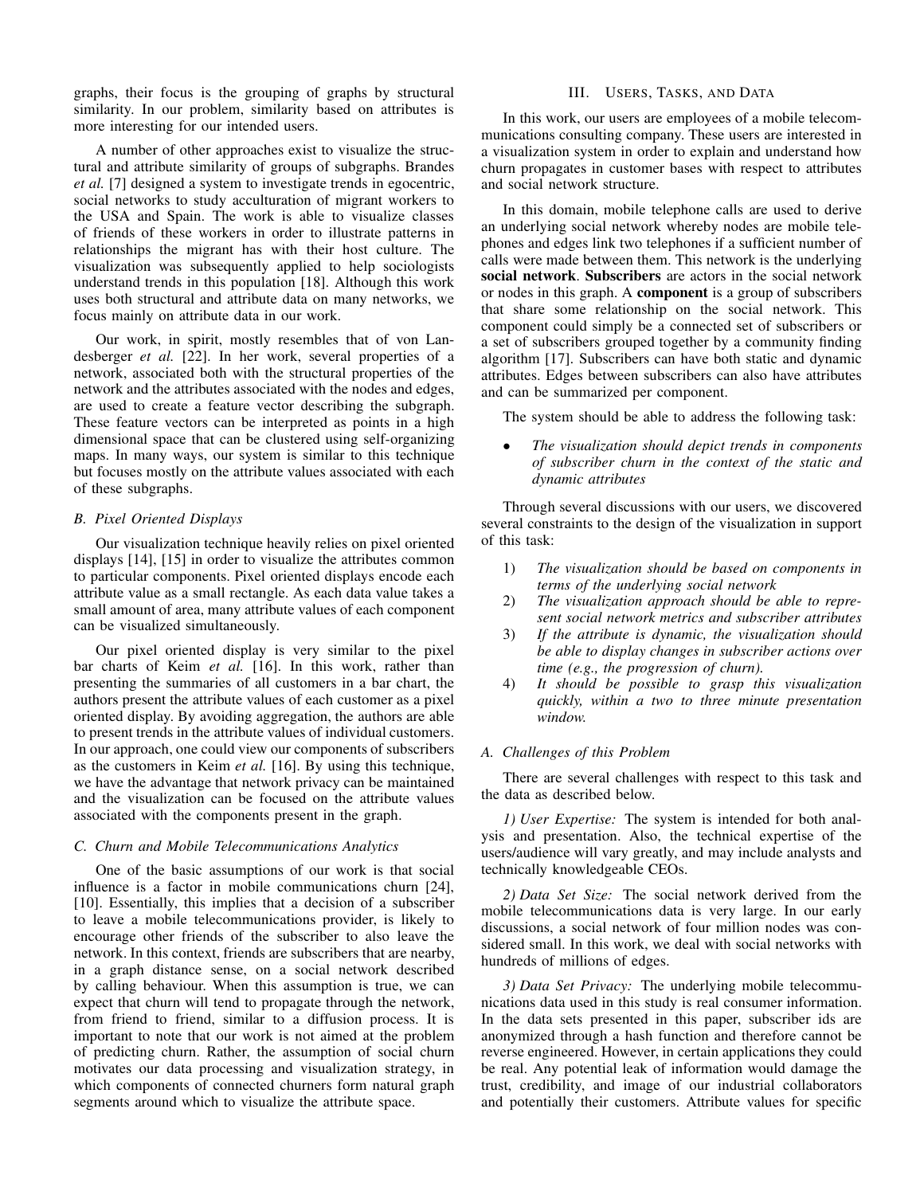graphs, their focus is the grouping of graphs by structural similarity. In our problem, similarity based on attributes is more interesting for our intended users.

A number of other approaches exist to visualize the structural and attribute similarity of groups of subgraphs. Brandes *et al.* [7] designed a system to investigate trends in egocentric, social networks to study acculturation of migrant workers to the USA and Spain. The work is able to visualize classes of friends of these workers in order to illustrate patterns in relationships the migrant has with their host culture. The visualization was subsequently applied to help sociologists understand trends in this population [18]. Although this work uses both structural and attribute data on many networks, we focus mainly on attribute data in our work.

Our work, in spirit, mostly resembles that of von Landesberger *et al.* [22]. In her work, several properties of a network, associated both with the structural properties of the network and the attributes associated with the nodes and edges, are used to create a feature vector describing the subgraph. These feature vectors can be interpreted as points in a high dimensional space that can be clustered using self-organizing maps. In many ways, our system is similar to this technique but focuses mostly on the attribute values associated with each of these subgraphs.

## *B. Pixel Oriented Displays*

Our visualization technique heavily relies on pixel oriented displays [14], [15] in order to visualize the attributes common to particular components. Pixel oriented displays encode each attribute value as a small rectangle. As each data value takes a small amount of area, many attribute values of each component can be visualized simultaneously.

Our pixel oriented display is very similar to the pixel bar charts of Keim *et al.* [16]. In this work, rather than presenting the summaries of all customers in a bar chart, the authors present the attribute values of each customer as a pixel oriented display. By avoiding aggregation, the authors are able to present trends in the attribute values of individual customers. In our approach, one could view our components of subscribers as the customers in Keim *et al.* [16]. By using this technique, we have the advantage that network privacy can be maintained and the visualization can be focused on the attribute values associated with the components present in the graph.

## *C. Churn and Mobile Telecommunications Analytics*

One of the basic assumptions of our work is that social influence is a factor in mobile communications churn [24], [10]. Essentially, this implies that a decision of a subscriber to leave a mobile telecommunications provider, is likely to encourage other friends of the subscriber to also leave the network. In this context, friends are subscribers that are nearby, in a graph distance sense, on a social network described by calling behaviour. When this assumption is true, we can expect that churn will tend to propagate through the network, from friend to friend, similar to a diffusion process. It is important to note that our work is not aimed at the problem of predicting churn. Rather, the assumption of social churn motivates our data processing and visualization strategy, in which components of connected churners form natural graph segments around which to visualize the attribute space.

## III. USERS, TASKS, AND DATA

In this work, our users are employees of a mobile telecommunications consulting company. These users are interested in a visualization system in order to explain and understand how churn propagates in customer bases with respect to attributes and social network structure.

In this domain, mobile telephone calls are used to derive an underlying social network whereby nodes are mobile telephones and edges link two telephones if a sufficient number of calls were made between them. This network is the underlying social network. Subscribers are actors in the social network or nodes in this graph. A component is a group of subscribers that share some relationship on the social network. This component could simply be a connected set of subscribers or a set of subscribers grouped together by a community finding algorithm [17]. Subscribers can have both static and dynamic attributes. Edges between subscribers can also have attributes and can be summarized per component.

The system should be able to address the following task:

• *The visualization should depict trends in components of subscriber churn in the context of the static and dynamic attributes*

Through several discussions with our users, we discovered several constraints to the design of the visualization in support of this task:

- 1) *The visualization should be based on components in terms of the underlying social network*
- 2) *The visualization approach should be able to represent social network metrics and subscriber attributes*
- 3) *If the attribute is dynamic, the visualization should be able to display changes in subscriber actions over time (e.g., the progression of churn).*
- 4) *It should be possible to grasp this visualization quickly, within a two to three minute presentation window.*

#### *A. Challenges of this Problem*

There are several challenges with respect to this task and the data as described below.

*1) User Expertise:* The system is intended for both analysis and presentation. Also, the technical expertise of the users/audience will vary greatly, and may include analysts and technically knowledgeable CEOs.

*2) Data Set Size:* The social network derived from the mobile telecommunications data is very large. In our early discussions, a social network of four million nodes was considered small. In this work, we deal with social networks with hundreds of millions of edges.

*3) Data Set Privacy:* The underlying mobile telecommunications data used in this study is real consumer information. In the data sets presented in this paper, subscriber ids are anonymized through a hash function and therefore cannot be reverse engineered. However, in certain applications they could be real. Any potential leak of information would damage the trust, credibility, and image of our industrial collaborators and potentially their customers. Attribute values for specific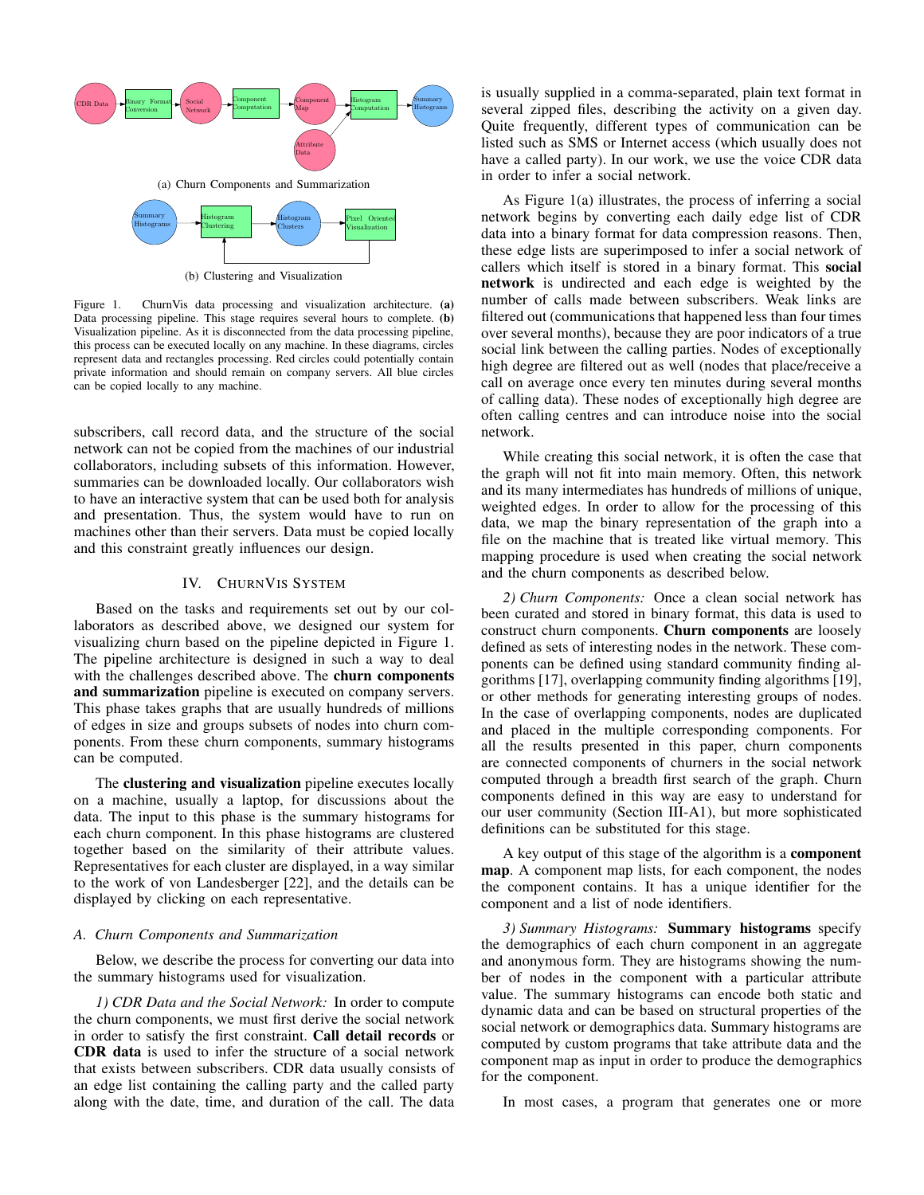

(b) Clustering and Visualization

Figure 1. ChurnVis data processing and visualization architecture. (a) Data processing pipeline. This stage requires several hours to complete. (b) Visualization pipeline. As it is disconnected from the data processing pipeline, this process can be executed locally on any machine. In these diagrams, circles represent data and rectangles processing. Red circles could potentially contain private information and should remain on company servers. All blue circles can be copied locally to any machine.

subscribers, call record data, and the structure of the social network can not be copied from the machines of our industrial collaborators, including subsets of this information. However, summaries can be downloaded locally. Our collaborators wish to have an interactive system that can be used both for analysis and presentation. Thus, the system would have to run on machines other than their servers. Data must be copied locally and this constraint greatly influences our design.

#### IV. CHURNVIS SYSTEM

Based on the tasks and requirements set out by our collaborators as described above, we designed our system for visualizing churn based on the pipeline depicted in Figure 1. The pipeline architecture is designed in such a way to deal with the challenges described above. The churn components and summarization pipeline is executed on company servers. This phase takes graphs that are usually hundreds of millions of edges in size and groups subsets of nodes into churn components. From these churn components, summary histograms can be computed.

The clustering and visualization pipeline executes locally on a machine, usually a laptop, for discussions about the data. The input to this phase is the summary histograms for each churn component. In this phase histograms are clustered together based on the similarity of their attribute values. Representatives for each cluster are displayed, in a way similar to the work of von Landesberger [22], and the details can be displayed by clicking on each representative.

#### *A. Churn Components and Summarization*

Below, we describe the process for converting our data into the summary histograms used for visualization.

*1) CDR Data and the Social Network:* In order to compute the churn components, we must first derive the social network in order to satisfy the first constraint. Call detail records or CDR data is used to infer the structure of a social network that exists between subscribers. CDR data usually consists of an edge list containing the calling party and the called party along with the date, time, and duration of the call. The data is usually supplied in a comma-separated, plain text format in several zipped files, describing the activity on a given day. Quite frequently, different types of communication can be listed such as SMS or Internet access (which usually does not have a called party). In our work, we use the voice CDR data in order to infer a social network.

As Figure 1(a) illustrates, the process of inferring a social network begins by converting each daily edge list of CDR data into a binary format for data compression reasons. Then, these edge lists are superimposed to infer a social network of callers which itself is stored in a binary format. This social network is undirected and each edge is weighted by the number of calls made between subscribers. Weak links are filtered out (communications that happened less than four times over several months), because they are poor indicators of a true social link between the calling parties. Nodes of exceptionally high degree are filtered out as well (nodes that place/receive a call on average once every ten minutes during several months of calling data). These nodes of exceptionally high degree are often calling centres and can introduce noise into the social network.

While creating this social network, it is often the case that the graph will not fit into main memory. Often, this network and its many intermediates has hundreds of millions of unique, weighted edges. In order to allow for the processing of this data, we map the binary representation of the graph into a file on the machine that is treated like virtual memory. This mapping procedure is used when creating the social network and the churn components as described below.

*2) Churn Components:* Once a clean social network has been curated and stored in binary format, this data is used to construct churn components. Churn components are loosely defined as sets of interesting nodes in the network. These components can be defined using standard community finding algorithms [17], overlapping community finding algorithms [19], or other methods for generating interesting groups of nodes. In the case of overlapping components, nodes are duplicated and placed in the multiple corresponding components. For all the results presented in this paper, churn components are connected components of churners in the social network computed through a breadth first search of the graph. Churn components defined in this way are easy to understand for our user community (Section III-A1), but more sophisticated definitions can be substituted for this stage.

A key output of this stage of the algorithm is a **component** map. A component map lists, for each component, the nodes the component contains. It has a unique identifier for the component and a list of node identifiers.

*3) Summary Histograms:* Summary histograms specify the demographics of each churn component in an aggregate and anonymous form. They are histograms showing the number of nodes in the component with a particular attribute value. The summary histograms can encode both static and dynamic data and can be based on structural properties of the social network or demographics data. Summary histograms are computed by custom programs that take attribute data and the component map as input in order to produce the demographics for the component.

In most cases, a program that generates one or more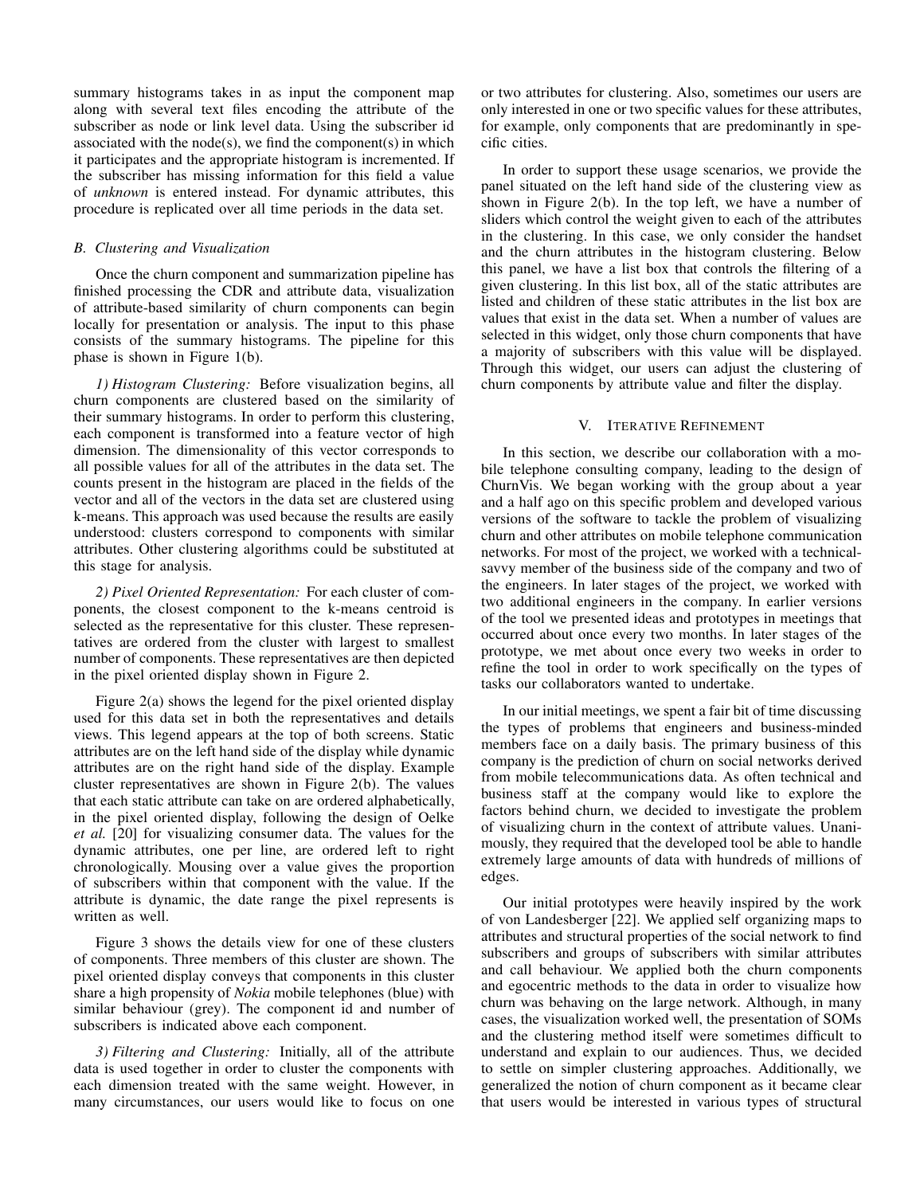summary histograms takes in as input the component map along with several text files encoding the attribute of the subscriber as node or link level data. Using the subscriber id associated with the node(s), we find the component(s) in which it participates and the appropriate histogram is incremented. If the subscriber has missing information for this field a value of *unknown* is entered instead. For dynamic attributes, this procedure is replicated over all time periods in the data set.

## *B. Clustering and Visualization*

Once the churn component and summarization pipeline has finished processing the CDR and attribute data, visualization of attribute-based similarity of churn components can begin locally for presentation or analysis. The input to this phase consists of the summary histograms. The pipeline for this phase is shown in Figure 1(b).

*1) Histogram Clustering:* Before visualization begins, all churn components are clustered based on the similarity of their summary histograms. In order to perform this clustering, each component is transformed into a feature vector of high dimension. The dimensionality of this vector corresponds to all possible values for all of the attributes in the data set. The counts present in the histogram are placed in the fields of the vector and all of the vectors in the data set are clustered using k-means. This approach was used because the results are easily understood: clusters correspond to components with similar attributes. Other clustering algorithms could be substituted at this stage for analysis.

*2) Pixel Oriented Representation:* For each cluster of components, the closest component to the k-means centroid is selected as the representative for this cluster. These representatives are ordered from the cluster with largest to smallest number of components. These representatives are then depicted in the pixel oriented display shown in Figure 2.

Figure 2(a) shows the legend for the pixel oriented display used for this data set in both the representatives and details views. This legend appears at the top of both screens. Static attributes are on the left hand side of the display while dynamic attributes are on the right hand side of the display. Example cluster representatives are shown in Figure 2(b). The values that each static attribute can take on are ordered alphabetically, in the pixel oriented display, following the design of Oelke *et al.* [20] for visualizing consumer data. The values for the dynamic attributes, one per line, are ordered left to right chronologically. Mousing over a value gives the proportion of subscribers within that component with the value. If the attribute is dynamic, the date range the pixel represents is written as well.

Figure 3 shows the details view for one of these clusters of components. Three members of this cluster are shown. The pixel oriented display conveys that components in this cluster share a high propensity of *Nokia* mobile telephones (blue) with similar behaviour (grey). The component id and number of subscribers is indicated above each component.

*3) Filtering and Clustering:* Initially, all of the attribute data is used together in order to cluster the components with each dimension treated with the same weight. However, in many circumstances, our users would like to focus on one or two attributes for clustering. Also, sometimes our users are only interested in one or two specific values for these attributes, for example, only components that are predominantly in specific cities.

In order to support these usage scenarios, we provide the panel situated on the left hand side of the clustering view as shown in Figure 2(b). In the top left, we have a number of sliders which control the weight given to each of the attributes in the clustering. In this case, we only consider the handset and the churn attributes in the histogram clustering. Below this panel, we have a list box that controls the filtering of a given clustering. In this list box, all of the static attributes are listed and children of these static attributes in the list box are values that exist in the data set. When a number of values are selected in this widget, only those churn components that have a majority of subscribers with this value will be displayed. Through this widget, our users can adjust the clustering of churn components by attribute value and filter the display.

## V. ITERATIVE REFINEMENT

In this section, we describe our collaboration with a mobile telephone consulting company, leading to the design of ChurnVis. We began working with the group about a year and a half ago on this specific problem and developed various versions of the software to tackle the problem of visualizing churn and other attributes on mobile telephone communication networks. For most of the project, we worked with a technicalsavvy member of the business side of the company and two of the engineers. In later stages of the project, we worked with two additional engineers in the company. In earlier versions of the tool we presented ideas and prototypes in meetings that occurred about once every two months. In later stages of the prototype, we met about once every two weeks in order to refine the tool in order to work specifically on the types of tasks our collaborators wanted to undertake.

In our initial meetings, we spent a fair bit of time discussing the types of problems that engineers and business-minded members face on a daily basis. The primary business of this company is the prediction of churn on social networks derived from mobile telecommunications data. As often technical and business staff at the company would like to explore the factors behind churn, we decided to investigate the problem of visualizing churn in the context of attribute values. Unanimously, they required that the developed tool be able to handle extremely large amounts of data with hundreds of millions of edges.

Our initial prototypes were heavily inspired by the work of von Landesberger [22]. We applied self organizing maps to attributes and structural properties of the social network to find subscribers and groups of subscribers with similar attributes and call behaviour. We applied both the churn components and egocentric methods to the data in order to visualize how churn was behaving on the large network. Although, in many cases, the visualization worked well, the presentation of SOMs and the clustering method itself were sometimes difficult to understand and explain to our audiences. Thus, we decided to settle on simpler clustering approaches. Additionally, we generalized the notion of churn component as it became clear that users would be interested in various types of structural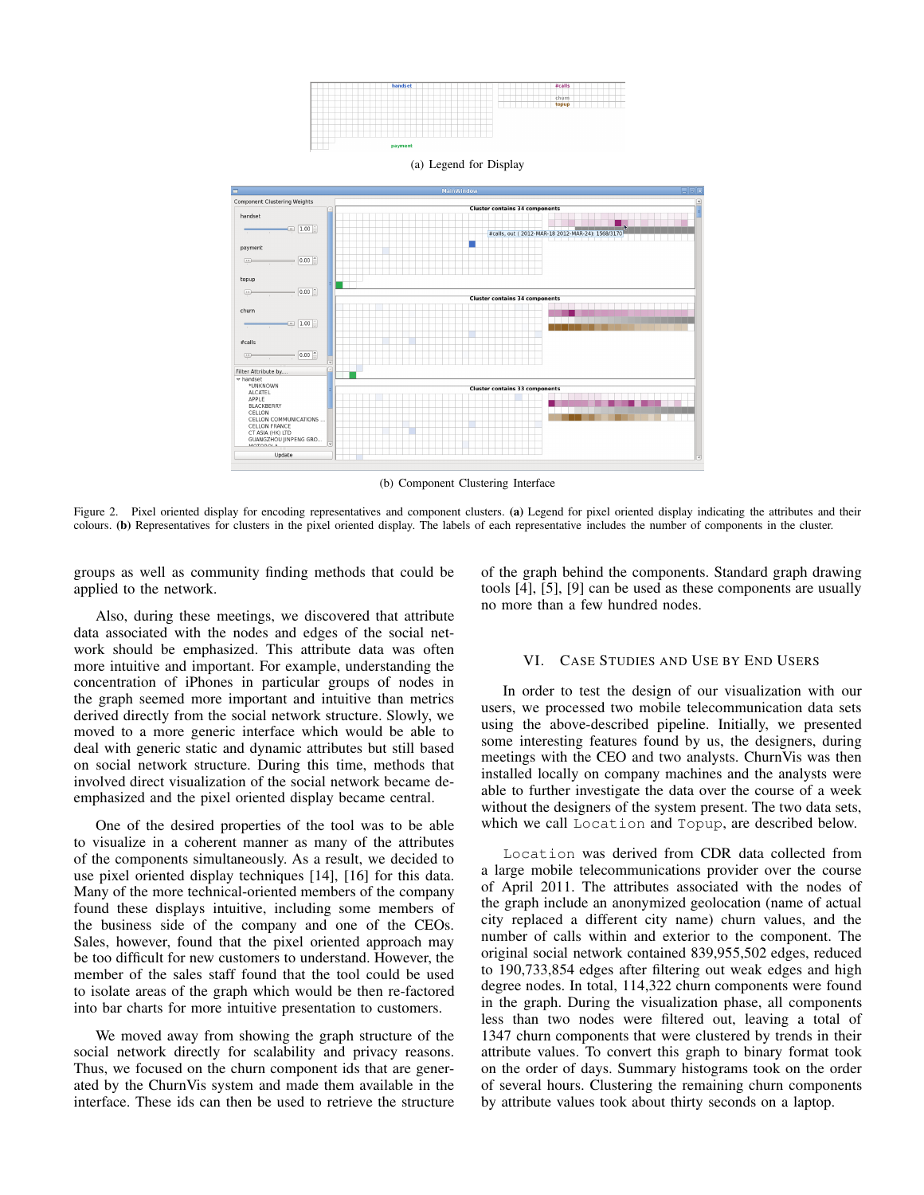

(a) Legend for Display



(b) Component Clustering Interface

Figure 2. Pixel oriented display for encoding representatives and component clusters. (a) Legend for pixel oriented display indicating the attributes and their colours. (b) Representatives for clusters in the pixel oriented display. The labels of each representative includes the number of components in the cluster.

groups as well as community finding methods that could be applied to the network.

Also, during these meetings, we discovered that attribute data associated with the nodes and edges of the social network should be emphasized. This attribute data was often more intuitive and important. For example, understanding the concentration of iPhones in particular groups of nodes in the graph seemed more important and intuitive than metrics derived directly from the social network structure. Slowly, we moved to a more generic interface which would be able to deal with generic static and dynamic attributes but still based on social network structure. During this time, methods that involved direct visualization of the social network became deemphasized and the pixel oriented display became central.

One of the desired properties of the tool was to be able to visualize in a coherent manner as many of the attributes of the components simultaneously. As a result, we decided to use pixel oriented display techniques [14], [16] for this data. Many of the more technical-oriented members of the company found these displays intuitive, including some members of the business side of the company and one of the CEOs. Sales, however, found that the pixel oriented approach may be too difficult for new customers to understand. However, the member of the sales staff found that the tool could be used to isolate areas of the graph which would be then re-factored into bar charts for more intuitive presentation to customers.

We moved away from showing the graph structure of the social network directly for scalability and privacy reasons. Thus, we focused on the churn component ids that are generated by the ChurnVis system and made them available in the interface. These ids can then be used to retrieve the structure of the graph behind the components. Standard graph drawing tools [4], [5], [9] can be used as these components are usually no more than a few hundred nodes.

#### VI. CASE STUDIES AND USE BY END USERS

In order to test the design of our visualization with our users, we processed two mobile telecommunication data sets using the above-described pipeline. Initially, we presented some interesting features found by us, the designers, during meetings with the CEO and two analysts. ChurnVis was then installed locally on company machines and the analysts were able to further investigate the data over the course of a week without the designers of the system present. The two data sets, which we call Location and Topup, are described below.

Location was derived from CDR data collected from a large mobile telecommunications provider over the course of April 2011. The attributes associated with the nodes of the graph include an anonymized geolocation (name of actual city replaced a different city name) churn values, and the number of calls within and exterior to the component. The original social network contained 839,955,502 edges, reduced to 190,733,854 edges after filtering out weak edges and high degree nodes. In total, 114,322 churn components were found in the graph. During the visualization phase, all components less than two nodes were filtered out, leaving a total of 1347 churn components that were clustered by trends in their attribute values. To convert this graph to binary format took on the order of days. Summary histograms took on the order of several hours. Clustering the remaining churn components by attribute values took about thirty seconds on a laptop.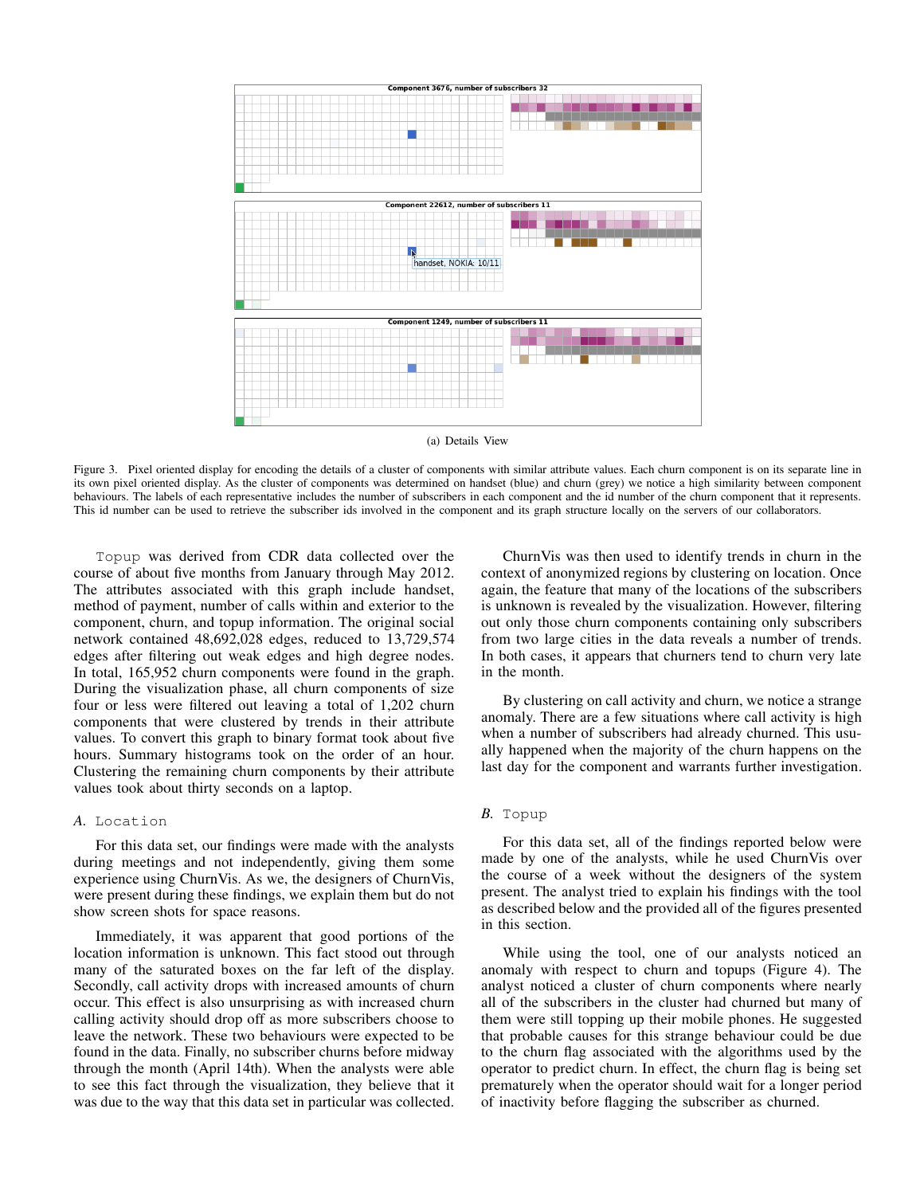

Figure 3. Pixel oriented display for encoding the details of a cluster of components with similar attribute values. Each churn component is on its separate line in its own pixel oriented display. As the cluster of components was determined on handset (blue) and churn (grey) we notice a high similarity between component behaviours. The labels of each representative includes the number of subscribers in each component and the id number of the churn component that it represents. This id number can be used to retrieve the subscriber ids involved in the component and its graph structure locally on the servers of our collaborators.

Topup was derived from CDR data collected over the course of about five months from January through May 2012. The attributes associated with this graph include handset, method of payment, number of calls within and exterior to the component, churn, and topup information. The original social network contained 48,692,028 edges, reduced to 13,729,574 edges after filtering out weak edges and high degree nodes. In total, 165,952 churn components were found in the graph. During the visualization phase, all churn components of size four or less were filtered out leaving a total of 1,202 churn components that were clustered by trends in their attribute values. To convert this graph to binary format took about five hours. Summary histograms took on the order of an hour. Clustering the remaining churn components by their attribute values took about thirty seconds on a laptop.

## *A.* Location

For this data set, our findings were made with the analysts during meetings and not independently, giving them some experience using ChurnVis. As we, the designers of ChurnVis, were present during these findings, we explain them but do not show screen shots for space reasons.

Immediately, it was apparent that good portions of the location information is unknown. This fact stood out through many of the saturated boxes on the far left of the display. Secondly, call activity drops with increased amounts of churn occur. This effect is also unsurprising as with increased churn calling activity should drop off as more subscribers choose to leave the network. These two behaviours were expected to be found in the data. Finally, no subscriber churns before midway through the month (April 14th). When the analysts were able to see this fact through the visualization, they believe that it was due to the way that this data set in particular was collected.

ChurnVis was then used to identify trends in churn in the context of anonymized regions by clustering on location. Once again, the feature that many of the locations of the subscribers is unknown is revealed by the visualization. However, filtering out only those churn components containing only subscribers from two large cities in the data reveals a number of trends. In both cases, it appears that churners tend to churn very late in the month.

By clustering on call activity and churn, we notice a strange anomaly. There are a few situations where call activity is high when a number of subscribers had already churned. This usually happened when the majority of the churn happens on the last day for the component and warrants further investigation.

#### *B.* Topup

For this data set, all of the findings reported below were made by one of the analysts, while he used ChurnVis over the course of a week without the designers of the system present. The analyst tried to explain his findings with the tool as described below and the provided all of the figures presented in this section.

While using the tool, one of our analysts noticed an anomaly with respect to churn and topups (Figure 4). The analyst noticed a cluster of churn components where nearly all of the subscribers in the cluster had churned but many of them were still topping up their mobile phones. He suggested that probable causes for this strange behaviour could be due to the churn flag associated with the algorithms used by the operator to predict churn. In effect, the churn flag is being set prematurely when the operator should wait for a longer period of inactivity before flagging the subscriber as churned.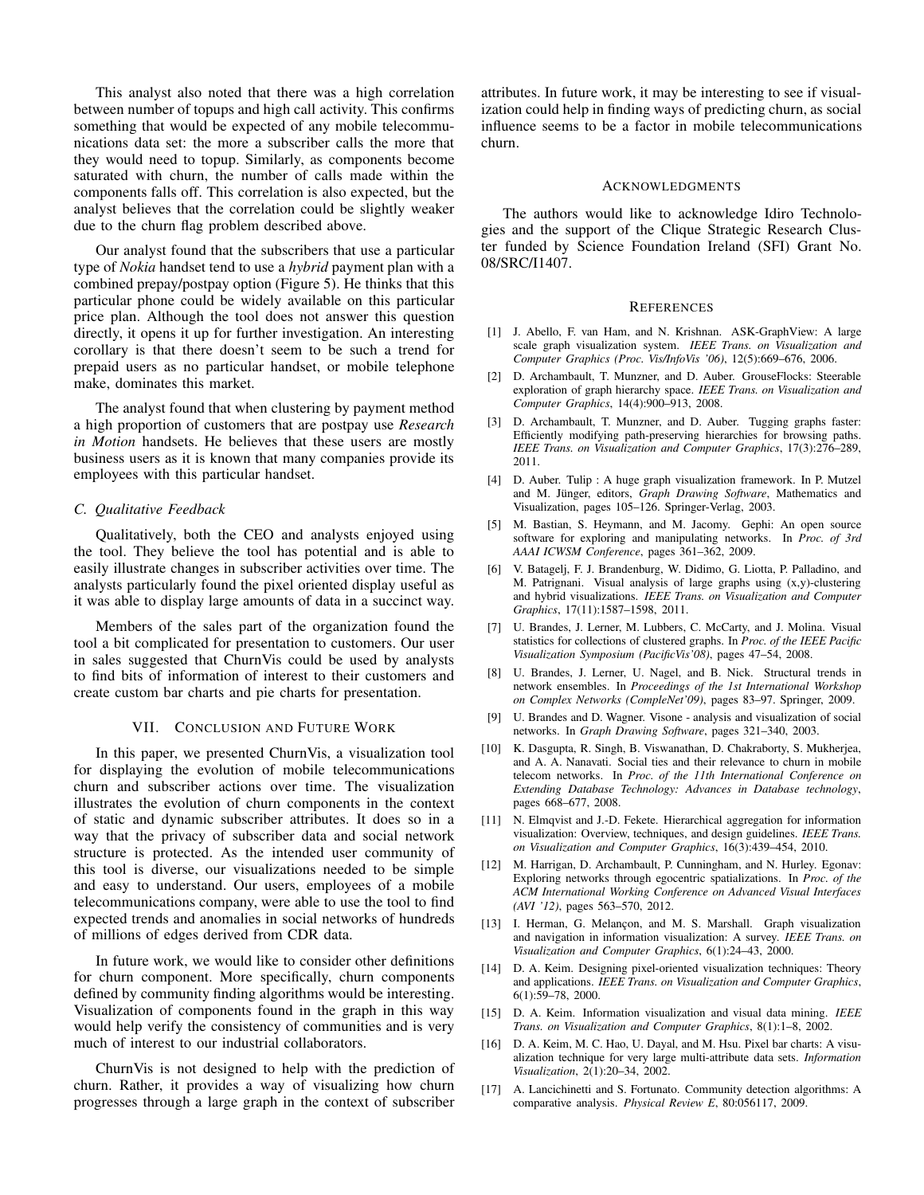This analyst also noted that there was a high correlation between number of topups and high call activity. This confirms something that would be expected of any mobile telecommunications data set: the more a subscriber calls the more that they would need to topup. Similarly, as components become saturated with churn, the number of calls made within the components falls off. This correlation is also expected, but the analyst believes that the correlation could be slightly weaker due to the churn flag problem described above.

Our analyst found that the subscribers that use a particular type of *Nokia* handset tend to use a *hybrid* payment plan with a combined prepay/postpay option (Figure 5). He thinks that this particular phone could be widely available on this particular price plan. Although the tool does not answer this question directly, it opens it up for further investigation. An interesting corollary is that there doesn't seem to be such a trend for prepaid users as no particular handset, or mobile telephone make, dominates this market.

The analyst found that when clustering by payment method a high proportion of customers that are postpay use *Research in Motion* handsets. He believes that these users are mostly business users as it is known that many companies provide its employees with this particular handset.

#### *C. Qualitative Feedback*

Qualitatively, both the CEO and analysts enjoyed using the tool. They believe the tool has potential and is able to easily illustrate changes in subscriber activities over time. The analysts particularly found the pixel oriented display useful as it was able to display large amounts of data in a succinct way.

Members of the sales part of the organization found the tool a bit complicated for presentation to customers. Our user in sales suggested that ChurnVis could be used by analysts to find bits of information of interest to their customers and create custom bar charts and pie charts for presentation.

#### VII. CONCLUSION AND FUTURE WORK

In this paper, we presented ChurnVis, a visualization tool for displaying the evolution of mobile telecommunications churn and subscriber actions over time. The visualization illustrates the evolution of churn components in the context of static and dynamic subscriber attributes. It does so in a way that the privacy of subscriber data and social network structure is protected. As the intended user community of this tool is diverse, our visualizations needed to be simple and easy to understand. Our users, employees of a mobile telecommunications company, were able to use the tool to find expected trends and anomalies in social networks of hundreds of millions of edges derived from CDR data.

In future work, we would like to consider other definitions for churn component. More specifically, churn components defined by community finding algorithms would be interesting. Visualization of components found in the graph in this way would help verify the consistency of communities and is very much of interest to our industrial collaborators.

ChurnVis is not designed to help with the prediction of churn. Rather, it provides a way of visualizing how churn progresses through a large graph in the context of subscriber

attributes. In future work, it may be interesting to see if visualization could help in finding ways of predicting churn, as social influence seems to be a factor in mobile telecommunications churn.

#### ACKNOWLEDGMENTS

The authors would like to acknowledge Idiro Technologies and the support of the Clique Strategic Research Cluster funded by Science Foundation Ireland (SFI) Grant No. 08/SRC/I1407.

#### **REFERENCES**

- [1] J. Abello, F. van Ham, and N. Krishnan. ASK-GraphView: A large scale graph visualization system. *IEEE Trans. on Visualization and Computer Graphics (Proc. Vis/InfoVis '06)*, 12(5):669–676, 2006.
- [2] D. Archambault, T. Munzner, and D. Auber. GrouseFlocks: Steerable exploration of graph hierarchy space. *IEEE Trans. on Visualization and Computer Graphics*, 14(4):900–913, 2008.
- D. Archambault, T. Munzner, and D. Auber. Tugging graphs faster: Efficiently modifying path-preserving hierarchies for browsing paths. *IEEE Trans. on Visualization and Computer Graphics*, 17(3):276–289, 2011.
- [4] D. Auber. Tulip : A huge graph visualization framework. In P. Mutzel and M. Jünger, editors, *Graph Drawing Software*, Mathematics and Visualization, pages 105–126. Springer-Verlag, 2003.
- M. Bastian, S. Heymann, and M. Jacomy. Gephi: An open source software for exploring and manipulating networks. In *Proc. of 3rd AAAI ICWSM Conference*, pages 361–362, 2009.
- [6] V. Batagelj, F. J. Brandenburg, W. Didimo, G. Liotta, P. Palladino, and M. Patrignani. Visual analysis of large graphs using (x,y)-clustering and hybrid visualizations. *IEEE Trans. on Visualization and Computer Graphics*, 17(11):1587–1598, 2011.
- [7] U. Brandes, J. Lerner, M. Lubbers, C. McCarty, and J. Molina. Visual statistics for collections of clustered graphs. In *Proc. of the IEEE Pacific Visualization Symposium (PacificVis'08)*, pages 47–54, 2008.
- [8] U. Brandes, J. Lerner, U. Nagel, and B. Nick. Structural trends in network ensembles. In *Proceedings of the 1st International Workshop on Complex Networks (CompleNet'09)*, pages 83–97. Springer, 2009.
- [9] U. Brandes and D. Wagner. Visone analysis and visualization of social networks. In *Graph Drawing Software*, pages 321–340, 2003.
- [10] K. Dasgupta, R. Singh, B. Viswanathan, D. Chakraborty, S. Mukherjea, and A. A. Nanavati. Social ties and their relevance to churn in mobile telecom networks. In *Proc. of the 11th International Conference on Extending Database Technology: Advances in Database technology*, pages 668–677, 2008.
- [11] N. Elmqvist and J.-D. Fekete. Hierarchical aggregation for information visualization: Overview, techniques, and design guidelines. *IEEE Trans. on Visualization and Computer Graphics*, 16(3):439–454, 2010.
- [12] M. Harrigan, D. Archambault, P. Cunningham, and N. Hurley. Egonav: Exploring networks through egocentric spatializations. In *Proc. of the ACM International Working Conference on Advanced Visual Interfaces (AVI '12)*, pages 563–570, 2012.
- [13] I. Herman, G. Melançon, and M. S. Marshall. Graph visualization and navigation in information visualization: A survey. *IEEE Trans. on Visualization and Computer Graphics*, 6(1):24–43, 2000.
- [14] D. A. Keim. Designing pixel-oriented visualization techniques: Theory and applications. *IEEE Trans. on Visualization and Computer Graphics*, 6(1):59–78, 2000.
- [15] D. A. Keim. Information visualization and visual data mining. *IEEE Trans. on Visualization and Computer Graphics*, 8(1):1–8, 2002.
- [16] D. A. Keim, M. C. Hao, U. Dayal, and M. Hsu. Pixel bar charts: A visualization technique for very large multi-attribute data sets. *Information Visualization*, 2(1):20–34, 2002.
- [17] A. Lancichinetti and S. Fortunato. Community detection algorithms: A comparative analysis. *Physical Review E*, 80:056117, 2009.